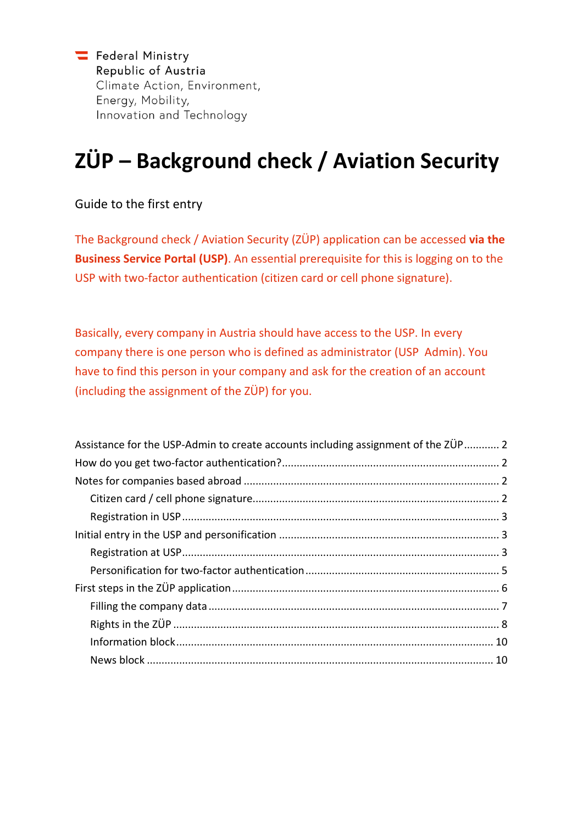Federal Ministry Republic of Austria Climate Action, Environment, Energy, Mobility, Innovation and Technology

# **ZÜP – Background check / Aviation Security**

Guide to the first entry

The Background check / Aviation Security (ZÜP) application can be accessed **via the Business Service Portal (USP)**. An essential prerequisite for this is logging on to the USP with two-factor authentication (citizen card or cell phone signature).

Basically, every company in Austria should have access to the USP. In every company there is one person who is defined as administrator (USP Admin). You have to find this person in your company and ask for the creation of an account (including the assignment of the ZÜP) for you.

| Assistance for the USP-Admin to create accounts including assignment of the ZÜP 2 |  |
|-----------------------------------------------------------------------------------|--|
|                                                                                   |  |
|                                                                                   |  |
|                                                                                   |  |
|                                                                                   |  |
|                                                                                   |  |
|                                                                                   |  |
|                                                                                   |  |
|                                                                                   |  |
|                                                                                   |  |
|                                                                                   |  |
|                                                                                   |  |
|                                                                                   |  |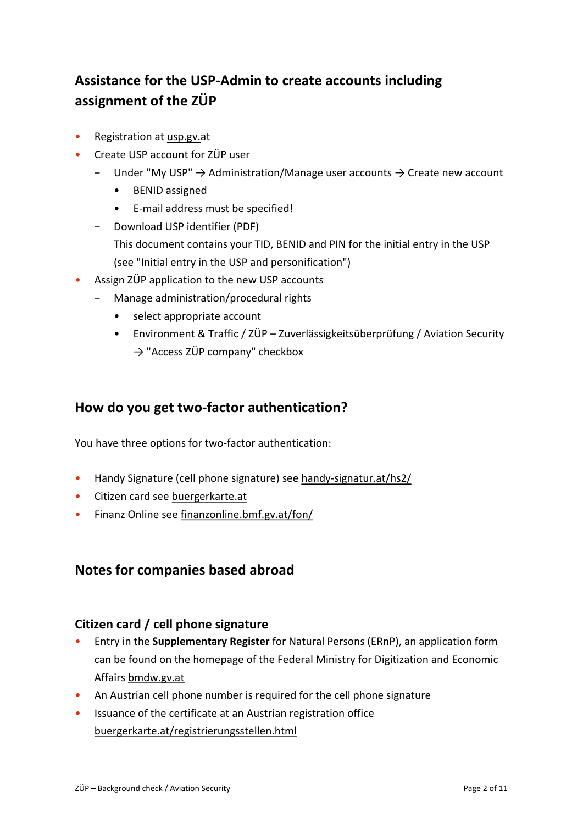# <span id="page-1-0"></span>**Assistance for the USP-Admin to create accounts including assignment of the ZÜP**

- Registration at [usp.gv.a](https://www.usp.gv.at/)t
- Create USP account for ZÜP user
	- − Under "My USP" → Administration/Manage user accounts → Create new account
		- BENID assigned
		- E-mail address must be specified!
	- − Download USP identifier (PDF) This document contains your TID, BENID and PIN for the initial entry in the USP (see ["Initial entry in the USP and personification"](#page-2-1))
- Assign ZÜP application to the new USP accounts
	- − Manage administration/procedural rights
		- select appropriate account
		- Environment & Traffic / ZÜP Zuverlässigkeitsüberprüfung / Aviation Security  $\rightarrow$  "Access ZÜP company" checkbox

# <span id="page-1-1"></span>**How do you get two-factor authentication?**

You have three options for two-factor authentication:

- Handy Signature (cell phone signature) se[e handy-signatur.at/hs2/](https://www.handy-signatur.at/hs2/)
- Citizen card see [buergerkarte.at](https://www.buergerkarte.at/)
- <span id="page-1-2"></span>• Finanz Online see [finanzonline.bmf.gv.at/fon/](https://finanzonline.bmf.gv.at/fon/)

### **Notes for companies based abroad**

### <span id="page-1-3"></span>**Citizen card / cell phone signature**

- Entry in the **Supplementary Register** for Natural Persons (ERnP), an application form can be found on the homepage of the Federal Ministry for Digitization and Economic Affairs [bmdw.gv.at](https://www.bmdw.gv.at/)
- An Austrian cell phone number is required for the cell phone signature
- Issuance of the certificate at an Austrian registration office [buergerkarte.at/registrierungsstellen.html](https://www.buergerkarte.at/registrierungsstellen.html)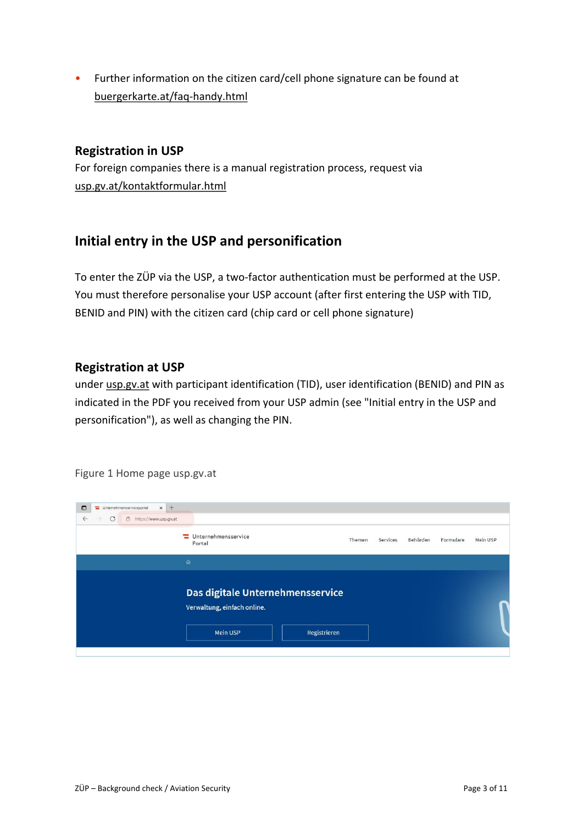<span id="page-2-0"></span>• Further information on the citizen card/cell phone signature can be found at [buergerkarte.at/faq-handy.html](https://www.buergerkarte.at/faq-handy.html)

### **Registration in USP**

For foreign companies there is a manual registration process, request via [usp.gv.at/kontaktformular.html](https://www.usp.gv.at/kontaktformular.html)

### <span id="page-2-1"></span>**Initial entry in the USP and personification**

To enter the ZÜP via the USP, a two-factor authentication must be performed at the USP. You must therefore personalise your USP account (after first entering the USP with TID, BENID and PIN) with the citizen card (chip card or cell phone signature)

### <span id="page-2-2"></span>**Registration at USP**

under [usp.gv.at](https://www.usp.gv.at/) with participant identification (TID), user identification (BENID) and PIN as indicated in the PDF you received from your USP admin (see ["Initial entry in the USP and](#page-2-1)  [personification"](#page-2-1)), as well as changing the PIN.

| $x +$<br>$\Box$<br>Unternehmensserviceportal                            |                                                                                             |        |          |          |           |          |
|-------------------------------------------------------------------------|---------------------------------------------------------------------------------------------|--------|----------|----------|-----------|----------|
| $\mathcal{C}$<br>$\leftarrow$<br>https://www.usp.gv.at<br>$\rightarrow$ |                                                                                             |        |          |          |           |          |
|                                                                         | Unternehmensservice<br>Portal                                                               | Themen | Services | Behörden | Formulare | Mein USP |
|                                                                         | $\hat{\mathbb{Q}}$                                                                          |        |          |          |           |          |
|                                                                         | Das digitale Unternehmensservice<br>Verwaltung, einfach online.<br>Mein USP<br>Registrieren |        |          |          |           |          |

Figure 1 Home page usp.gv.at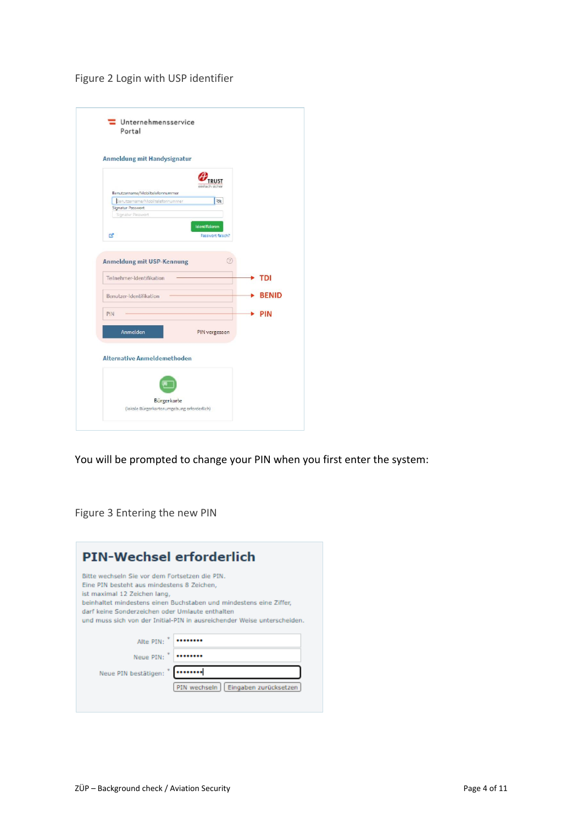### Figure 2 Login with USP identifier

| <b>Anmeldung mit Handysignatur</b>     |                  |              |
|----------------------------------------|------------------|--------------|
|                                        |                  |              |
| Benutzername/Mobiltelefonnummer        |                  |              |
| Benutzername/Mobiltelefonnummer        | $\mathfrak{S}$   |              |
| Signatur Passwort<br>Signatur Passwort |                  |              |
|                                        | Identifizieren   |              |
| <b>B</b>                               | Passwort falsch? |              |
|                                        |                  |              |
| <b>Anmeldung mit USP-Kennung</b>       | 2                |              |
| Teilnehmer-Identifikation              |                  | <b>TDI</b>   |
|                                        |                  |              |
| Benutzer-Identifikation                |                  |              |
| PIN                                    |                  | <b>PIN</b>   |
|                                        |                  | <b>BENID</b> |
| Anmelden                               | PIN vergessen    |              |
|                                        |                  |              |
| <b>Alternative Anmeldemethoden</b>     |                  |              |
|                                        |                  |              |
|                                        |                  |              |

You will be prompted to change your PIN when you first enter the system:

Figure 3 Entering the new PIN

| <b>PIN-Wechsel erforderlich</b>                                                                                                                                                                                                                                                                                                  |                                       |
|----------------------------------------------------------------------------------------------------------------------------------------------------------------------------------------------------------------------------------------------------------------------------------------------------------------------------------|---------------------------------------|
| Bitte wechseln Sie vor dem Fortsetzen die PIN.<br>Eine PIN besteht aus mindestens 8 Zeichen,<br>ist maximal 12 Zeichen lang,<br>beinhaltet mindestens einen Buchstaben und mindestens eine Ziffer,<br>darf keine Sonderzeichen oder Umlaute enthalten<br>und muss sich von der Initial-PIN in ausreichender Weise unterscheiden. |                                       |
| Alte PIN:                                                                                                                                                                                                                                                                                                                        |                                       |
| Neue PIN:                                                                                                                                                                                                                                                                                                                        |                                       |
| <br>Neue PIN bestätigen:                                                                                                                                                                                                                                                                                                         |                                       |
|                                                                                                                                                                                                                                                                                                                                  | PIN wechseln<br>Eingaben zurücksetzen |
|                                                                                                                                                                                                                                                                                                                                  |                                       |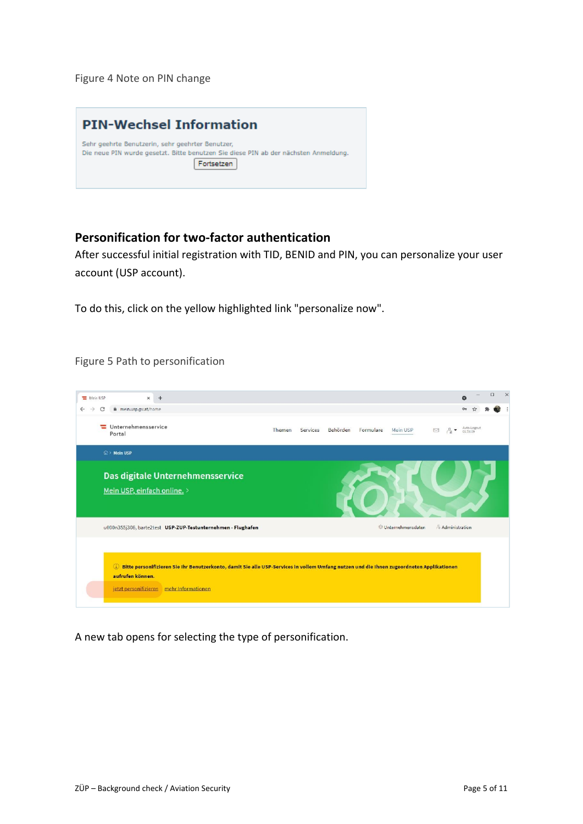Figure 4 Note on PIN change



### <span id="page-4-0"></span>**Personification for two-factor authentication**

After successful initial registration with TID, BENID and PIN, you can personalize your user account (USP account).

To do this, click on the yellow highlighted link "personalize now".

Figure 5 Path to personification



A new tab opens for selecting the type of personification.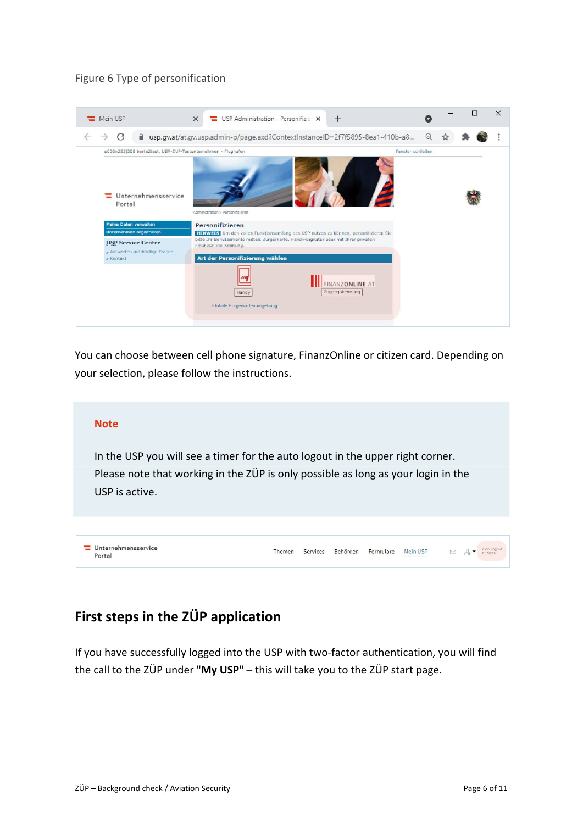### Figure 6 Type of personification



You can choose between cell phone signature, FinanzOnline or citizen card. Depending on your selection, please follow the instructions.

#### **Note**

In the USP you will see a timer for the auto logout in the upper right corner. Please note that working in the ZÜP is only possible as long as your login in the USP is active.

| Unternehmensservice<br>Portal | Themen |  | Services Behörden Formulare Mein USP |  | $\boxtimes$ $\beta$ $\bullet$ | Auto-Logout |  |
|-------------------------------|--------|--|--------------------------------------|--|-------------------------------|-------------|--|

# <span id="page-5-0"></span>**First steps in the ZÜP application**

If you have successfully logged into the USP with two-factor authentication, you will find the call to the ZÜP under "**My USP**" – this will take you to the ZÜP start page.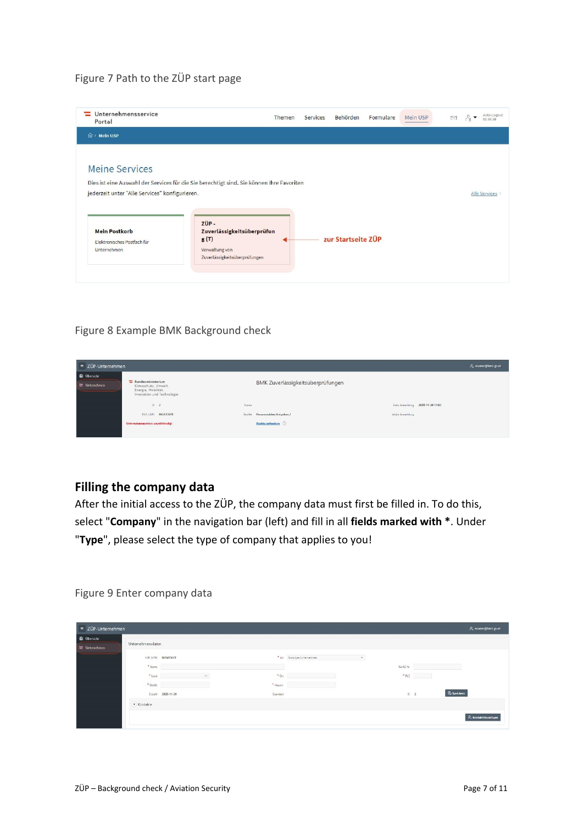### Figure 7 Path to the ZÜP start page

| Portal                                                           |                                                                                           | Themen                     | Services | Behörden | Formulare | Mein USP | M | $\cdot$ | Auto-Logout<br>01:50:58 |
|------------------------------------------------------------------|-------------------------------------------------------------------------------------------|----------------------------|----------|----------|-----------|----------|---|---------|-------------------------|
| $\hat{m}$ > Mein USP                                             |                                                                                           |                            |          |          |           |          |   |         |                         |
| Meine Services<br>jederzeit unter "Alle Services" konfigurieren. | Dies ist eine Auswahl der Services für die Sie berechtigt sind. Sie können Ihre Favoriten |                            |          |          |           |          |   |         | Alle Services           |
|                                                                  | ZÜP-                                                                                      | Zuverlässigkeitsüberprüfun |          |          |           |          |   |         |                         |

### Figure 8 Example BMK Background check

| $\equiv$ ZÜP-Unternehmen                    |                                                                                                         |      |                                   |                  |                                  | R. muster@bmk.gv.at |
|---------------------------------------------|---------------------------------------------------------------------------------------------------------|------|-----------------------------------|------------------|----------------------------------|---------------------|
| <b>CD</b> Ubersicht<br><b>M</b> Unternehmen | $\equiv$ Bundesministerium<br>Klimaschutz, Umwelt,<br>Energie, Mobilität.<br>Innovation und Technologie |      | BMK Zuverlässigkeitsüberprüfungen |                  |                                  |                     |
|                                             | D <sub>2</sub>                                                                                          | Name |                                   |                  | Erste Anmeldung 2020 11:20 11:03 |                     |
|                                             | KUR (USP) R654T561T                                                                                     |      | Rechte Personendaten freigeben /  | Letzle Anneklung |                                  |                     |
|                                             | Unternehmensdaten unvollständig!                                                                        |      | <b>Rechte anfordern</b>           |                  |                                  |                     |
|                                             |                                                                                                         |      |                                   |                  |                                  |                     |

### <span id="page-6-0"></span>**Filling the company data**

After the initial access to the ZÜP, the company data must first be filled in. To do this, select "**Company**" in the navigation bar (left) and fill in all **fields marked with \***. Under "**Type**", please select the type of company that applies to you!

Figure 9 Enter company data

| $\equiv$ ZÜP-Unternehmen                   |                                 |                     |                     |                                             |          | P. muster@bmk.gv.at   |
|--------------------------------------------|---------------------------------|---------------------|---------------------|---------------------------------------------|----------|-----------------------|
| <b>D</b> Ubersicht<br><b>M</b> Unternehmen | Unternehmensdaten               |                     |                     |                                             |          |                       |
|                                            | * Name                          | KUR (USP) R654T561T |                     | * Art Sonstiges Unternehmen<br>$\checkmark$ | RA/KC Nr |                       |
|                                            | * Lend<br>$*$ Straße            | $\sim$              | $*$ Ort<br>* Hausne |                                             | PIZ      |                       |
|                                            | $\widehat{\mathbf{v}}$ Kontakte | Erstellt 2020-11-20 | Geandert            |                                             | $ 0 \t2$ | <b>E</b> , Speichern  |
|                                            |                                 |                     |                     |                                             |          | R. Kontakt hinzutügen |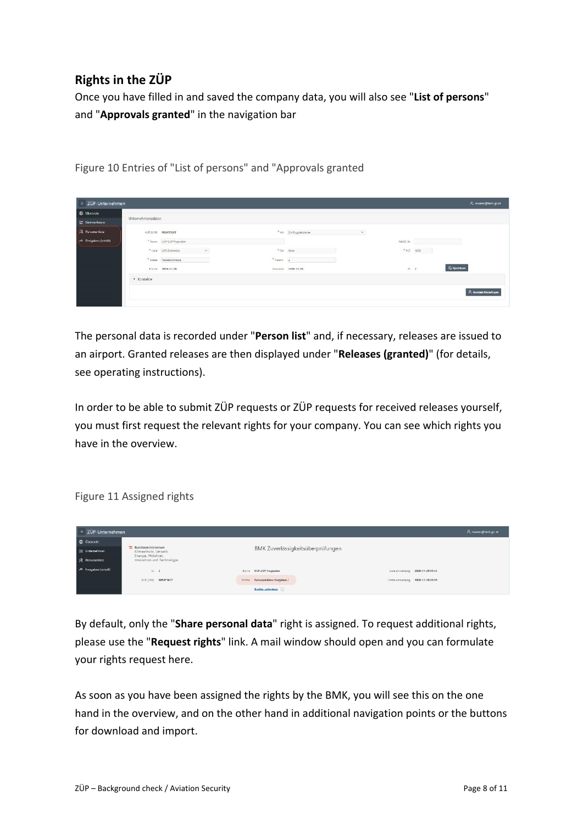# <span id="page-7-0"></span>**Rights in the ZÜP**

Once you have filled in and saved the company data, you will also see "**List of persons**" and "**Approvals granted**" in the navigation bar

ZÜP-Unternehr 9, muster@bmk.go Unternehmensdaten KUR (USP) R654T561T \* Art Zielfun \* Name USP-ZUP Rughaft  $\bullet$  Ort  $[{\sf Wen}]=\{$  $\begin{array}{c|c} \star & \mathsf{PLZ} & \mathsf{1030} & \cdots \end{array}$  $\ast$  Straße – Kadetzkystrasse  $\begin{tabular}{ll} \bf 4 & \bf 14 & \bf 2 & \bf 3 & \bf 4 & \bf 5 & \bf 6 \\ \bf 7 & \bf 8 & \bf 14 & \bf 15 & \bf 16 & \bf 17 & \bf 18 \\ \bf 18 & \bf 19 & \bf 19 & \bf 18 & \bf 19 & \bf 18 \\ \bf 19 & \bf 19 & \bf 19 & \bf 19 & \bf 19 & \bf 19 \\ \bf 10 & \bf 19 & \bf 19 & \bf 19 & \bf 19 & \bf 19 & \bf 19 \\ \bf 10 & \bf 19 & \bf 19 & \bf 1$  $\overline{\mathbb{P}_{\hspace{-1pt}\rho}}$  Speichern French 2020-11-20 Ceandert 2020-11-20  $n \rightarrow$  $\overline{\phantom{a}}$  Kontakte  $\beta_+$  Kontakt hina

Figure 10 Entries of "List of persons" and "Approvals granted

The personal data is recorded under "**Person list**" and, if necessary, releases are issued to an airport. Granted releases are then displayed under "**Releases (granted)**" (for details, see operating instructions).

In order to be able to submit ZÜP requests or ZÜP requests for received releases yourself, you must first request the relevant rights for your company. You can see which rights you have in the overview.

Figure 11 Assigned rights

| $\equiv$ ZÜP-Unternehmen           |                                                   |                                     | $\mathcal{P}_{\nu}$ muster@bmk.gvat |
|------------------------------------|---------------------------------------------------|-------------------------------------|-------------------------------------|
| <b>C</b> Übersicht                 |                                                   |                                     |                                     |
| [m] Unternehmen                    | Bundesministerium<br>Klimaschutz, Umwelt,         | BMK Zuverlässigkeitsüberprüfungen   |                                     |
| R Personenliste                    | Energie, Mobilität,<br>Innovation und Technologie |                                     |                                     |
| p <sup>5</sup> Freigaben (erteilt) | $10 - 2$                                          | Name USP-ZUP Hughalen               | trste Anmeldung 2020-11-20 11:03    |
|                                    | KUR (USP) R654T561T                               | Personendaten freigeben /<br>Rechte | Tetrte Anneldung 2020-11-20 11:06   |
|                                    |                                                   | Rechte anfordern                    |                                     |

By default, only the "**Share personal data**" right is assigned. To request additional rights, please use the "**Request rights**" link. A mail window should open and you can formulate your rights request here.

As soon as you have been assigned the rights by the BMK, you will see this on the one hand in the overview, and on the other hand in additional navigation points or the buttons for download and import.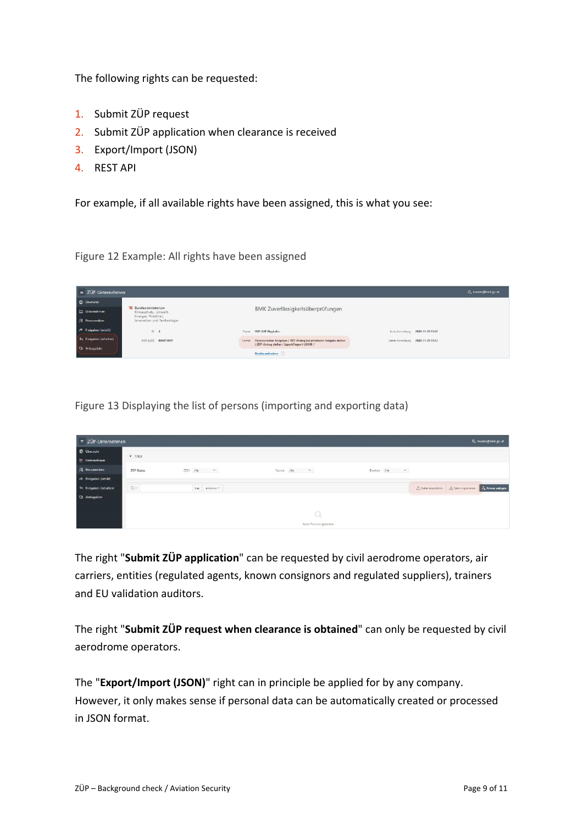The following rights can be requested:

- 1. Submit ZÜP request
- 2. Submit ZÜP application when clearance is received
- 3. Export/Import (JSON)
- 4. REST API

For example, if all available rights have been assigned, this is what you see:

Figure 12 Example: All rights have been assigned

| $\equiv$ ZÜP-Unternehmen |                                                                  |         |                                                                                                                      |                                   | P. muster@bmk.gvat |
|--------------------------|------------------------------------------------------------------|---------|----------------------------------------------------------------------------------------------------------------------|-----------------------------------|--------------------|
| C (Ihersicht             |                                                                  |         |                                                                                                                      |                                   |                    |
| ing Unternehmen          | Bundesministerium<br>Klimaschutz, Umwelt,<br>Energie, Mobilität, |         | BMK Zuverlässigkeitsüberprüfungen                                                                                    |                                   |                    |
| R Personenliste          | Innovation und Technologie                                       |         |                                                                                                                      |                                   |                    |
| P Freigaben (erteilt)    | ID <sub>2</sub>                                                  | Nettre  | USP-ZUP Flughelen                                                                                                    | Erste Anneldung 2020-11-20 11:03  |                    |
| << Freigaben (erhalten)  | R654T561T<br>KUR (USP)                                           | Rechte. | Personendaten freigeben / ZUP-Antrag bei erhaltener Freigabe stellen<br>/ ZUP-Antrag stellen / Export/Import USON) / | Letzte Anmeldung 2020-11-20 11:12 |                    |
| <br>Antragsliste         |                                                                  |         | Rechte aufordern                                                                                                     |                                   |                    |
|                          |                                                                  |         |                                                                                                                      |                                   |                    |

Figure 13 Displaying the list of persons (importing and exporting data)

| = ZÜP-Unternehmen                  |            |                                |                          |                                                                                                                                |                                         | P. muster@bmk.gv.at            |
|------------------------------------|------------|--------------------------------|--------------------------|--------------------------------------------------------------------------------------------------------------------------------|-----------------------------------------|--------------------------------|
| <b>C</b> Übersicht                 | · Filter   |                                |                          |                                                                                                                                |                                         |                                |
| the Unternehmen<br>R Personenliste | ZOP-Status | 2024 $\sqrt{m_{\rm H}}$ $\sim$ | Norma Alle $\sim$        | $\begin{tabular}{lllll} \multicolumn{2}{c}{\textbf{E}}\textbf{weither}&\Delta\textbf{le}&\quad&\quad\lor\quad\\ \end{tabular}$ |                                         |                                |
| P Freigaben (erteilt)              |            |                                |                          |                                                                                                                                |                                         |                                |
| the Freigaben (erhalten)           | $Q_{\nu}$  | 105<br>Aktionen v              |                          |                                                                                                                                | Chaten importieren de Daten exportieren | $\beta_{\rm b}$ Person anlegen |
| C) Antragsliste                    |            |                                |                          |                                                                                                                                |                                         |                                |
|                                    |            |                                |                          |                                                                                                                                |                                         |                                |
|                                    |            |                                | Keine Personen gefunden. |                                                                                                                                |                                         |                                |

The right "**Submit ZÜP application**" can be requested by civil aerodrome operators, air carriers, entities (regulated agents, known consignors and regulated suppliers), trainers and EU validation auditors.

The right "**Submit ZÜP request when clearance is obtained**" can only be requested by civil aerodrome operators.

The "**Export/Import (JSON)**" right can in principle be applied for by any company. However, it only makes sense if personal data can be automatically created or processed in JSON format.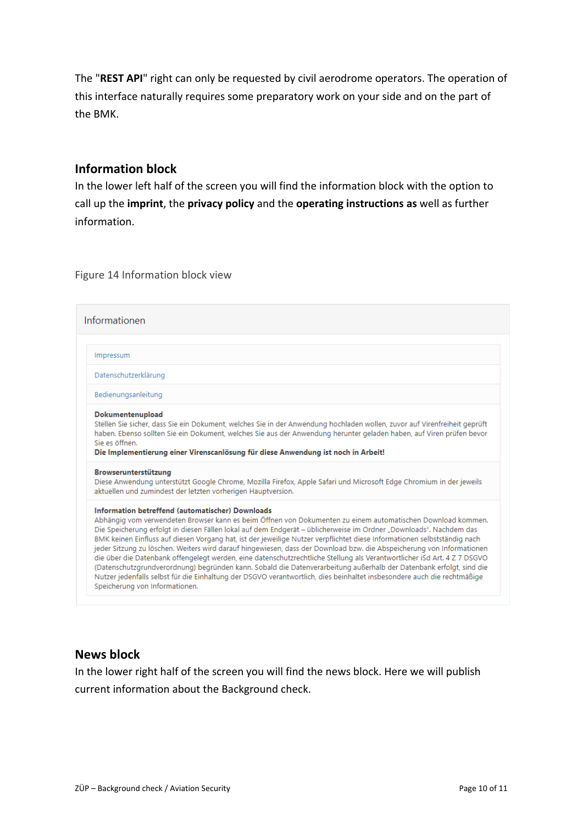The "**REST API**" right can only be requested by civil aerodrome operators. The operation of this interface naturally requires some preparatory work on your side and on the part of the BMK.

### <span id="page-9-0"></span>**Information block**

In the lower left half of the screen you will find the information block with the option to call up the **imprint**, the **privacy policy** and the **operating instructions as** well as further information.

Figure 14 Information block view

| Informationen                                                                                                                                                                                                                                                                                                                                                                                                                                                                                                                                                                                                                                                                                                                                                                                                                                                                                                                                              |
|------------------------------------------------------------------------------------------------------------------------------------------------------------------------------------------------------------------------------------------------------------------------------------------------------------------------------------------------------------------------------------------------------------------------------------------------------------------------------------------------------------------------------------------------------------------------------------------------------------------------------------------------------------------------------------------------------------------------------------------------------------------------------------------------------------------------------------------------------------------------------------------------------------------------------------------------------------|
| Impressum                                                                                                                                                                                                                                                                                                                                                                                                                                                                                                                                                                                                                                                                                                                                                                                                                                                                                                                                                  |
| Datenschutzerklärung                                                                                                                                                                                                                                                                                                                                                                                                                                                                                                                                                                                                                                                                                                                                                                                                                                                                                                                                       |
| Bedienungsanleitung                                                                                                                                                                                                                                                                                                                                                                                                                                                                                                                                                                                                                                                                                                                                                                                                                                                                                                                                        |
| Dokumentenupload<br>Stellen Sie sicher, dass Sie ein Dokument, welches Sie in der Anwendung hochladen wollen, zuvor auf Virenfreiheit geprüft<br>haben. Ebenso sollten Sie ein Dokument, welches Sie aus der Anwendung herunter geladen haben, auf Viren prüfen bevor<br>Sie es öffnen.<br>Die Implementierung einer Virenscanlösung für diese Anwendung ist noch in Arbeit!                                                                                                                                                                                                                                                                                                                                                                                                                                                                                                                                                                               |
| Browserunterstützung<br>Diese Anwendung unterstützt Google Chrome, Mozilla Firefox, Apple Safari und Microsoft Edge Chromium in der jeweils<br>aktuellen und zumindest der letzten vorherigen Hauptversion.                                                                                                                                                                                                                                                                                                                                                                                                                                                                                                                                                                                                                                                                                                                                                |
| Information betreffend (automatischer) Downloads<br>Abhängig vom verwendeten Browser kann es beim Öffnen von Dokumenten zu einem automatischen Download kommen.<br>Die Speicherung erfolgt in diesen Fällen lokal auf dem Endgerät - üblicherweise im Ordner "Downloads". Nachdem das<br>BMK keinen Einfluss auf diesen Vorgang hat, ist der jeweilige Nutzer verpflichtet diese Informationen selbstständig nach<br>jeder Sitzung zu löschen. Weiters wird darauf hingewiesen, dass der Download bzw. die Abspeicherung von Informationen<br>die über die Datenbank offengelegt werden, eine datenschutzrechtliche Stellung als Verantwortlicher iSd Art. 4 Z 7 DSGVO<br>(Datenschutzgrundverordnung) begründen kann. Sobald die Datenverarbeitung außerhalb der Datenbank erfolgt, sind die<br>Nutzer jedenfalls selbst für die Einhaltung der DSGVO verantwortlich, dies beinhaltet insbesondere auch die rechtmäßige<br>Speicherung von Informationen. |

### <span id="page-9-1"></span>**News block**

In the lower right half of the screen you will find the news block. Here we will publish current information about the Background check.